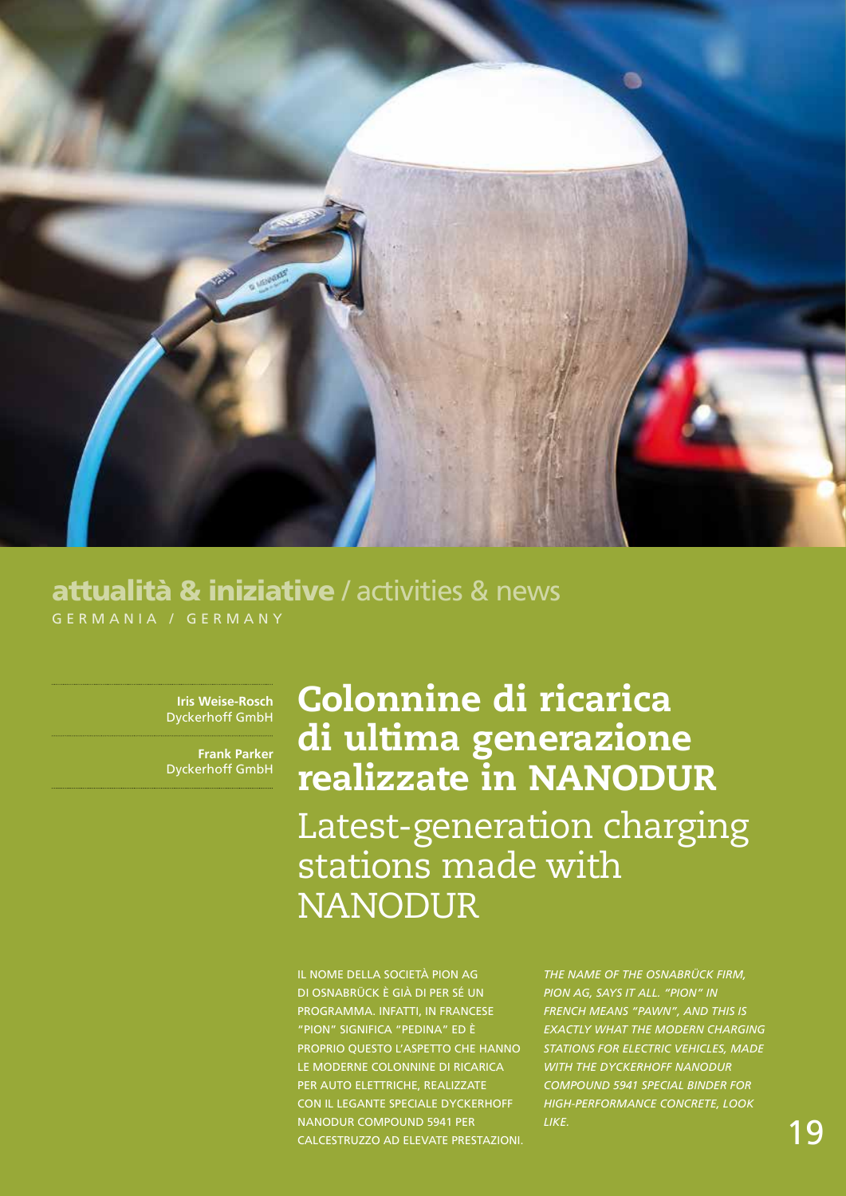

## GERMANIA / GERMANY attualità & iniziative / activities & news

**Iris Weise-Rosch** Dyckerhoff GmbH

**Frank Parker** Dyckerhoff GmbH

## Colonnine di ricarica di ultima generazione realizzate in NANODUR Latest-generation charging stations made with NANODUR

Il nome della società PION AG di Osnabrück è già di per sé un programma. Infatti, in francese "pion" significa "pedina" ed è proprio questo l'aspetto che hanno le moderne colonnine di ricarica per auto elettriche, realizzate con il legante speciale Dyckerhoff NANODUR Compound 5941 per calcestruzzo ad elevate prestazioni.

*The name of the Osnabrück firm, PION AG, says it all. "Pion" in French means "pawn", and this is exactly what the modern charging stations for electric vehicles, made with the Dyckerhoff NANODUR Compound 5941 special binder for high-performance concrete, look like.*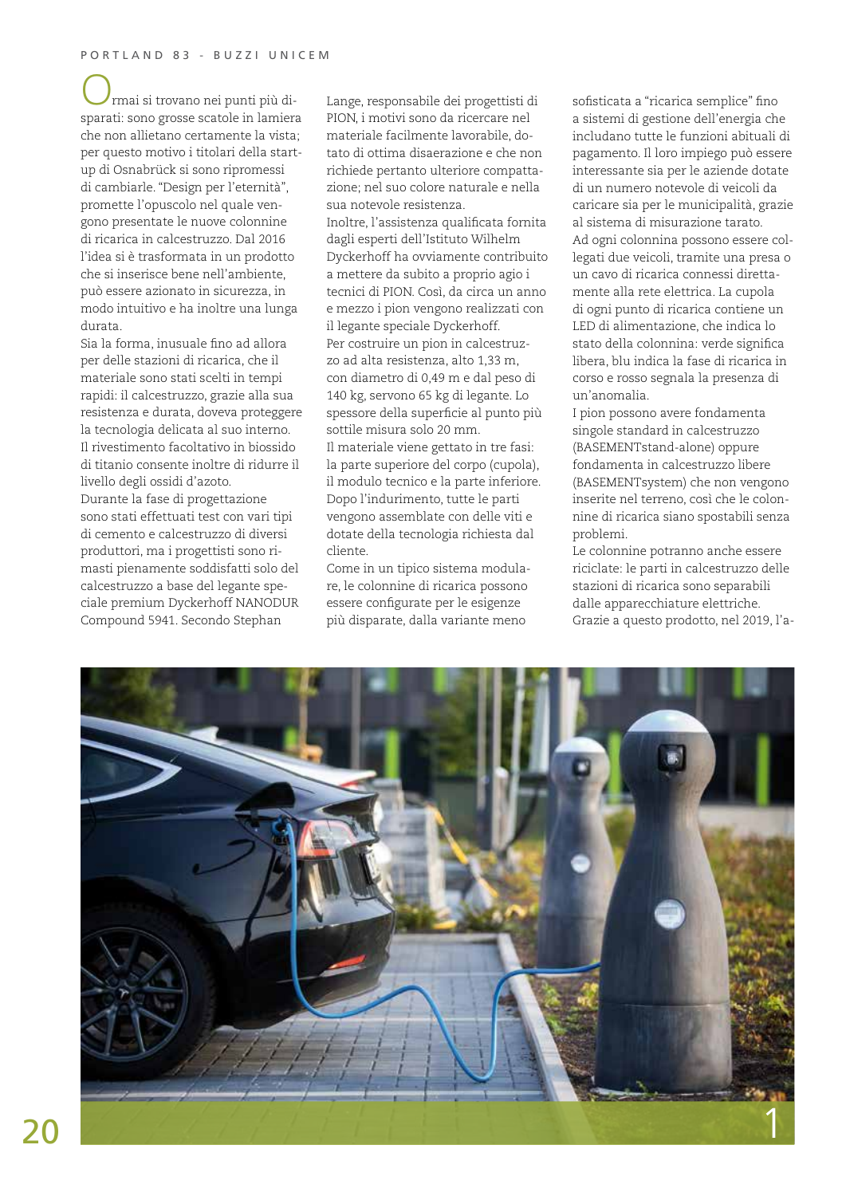rmai si trovano nei punti più disparati: sono grosse scatole in lamiera che non allietano certamente la vista; per questo motivo i titolari della startup di Osnabrück si sono ripromessi di cambiarle. "Design per l'eternità", promette l'opuscolo nel quale vengono presentate le nuove colonnine di ricarica in calcestruzzo. Dal 2016 l'idea si è trasformata in un prodotto che si inserisce bene nell'ambiente, può essere azionato in sicurezza, in modo intuitivo e ha inoltre una lunga durata.

Sia la forma, inusuale fino ad allora per delle stazioni di ricarica, che il materiale sono stati scelti in tempi rapidi: il calcestruzzo, grazie alla sua resistenza e durata, doveva proteggere la tecnologia delicata al suo interno. Il rivestimento facoltativo in biossido di titanio consente inoltre di ridurre il livello degli ossidi d'azoto. Durante la fase di progettazione sono stati effettuati test con vari tipi di cemento e calcestruzzo di diversi produttori, ma i progettisti sono rimasti pienamente soddisfatti solo del calcestruzzo a base del legante speciale premium Dyckerhoff NANODUR Compound 5941. Secondo Stephan

Lange, responsabile dei progettisti di PION, i motivi sono da ricercare nel materiale facilmente lavorabile, dotato di ottima disaerazione e che non richiede pertanto ulteriore compattazione; nel suo colore naturale e nella sua notevole resistenza. Inoltre, l'assistenza qualificata fornita dagli esperti dell'Istituto Wilhelm Dyckerhoff ha ovviamente contribuito a mettere da subito a proprio agio i tecnici di PION. Così, da circa un anno e mezzo i pion vengono realizzati con il legante speciale Dyckerhoff. Per costruire un pion in calcestruzzo ad alta resistenza, alto 1,33 m, con diametro di 0,49 m e dal peso di 140 kg, servono 65 kg di legante. Lo spessore della superficie al punto più sottile misura solo 20 mm. Il materiale viene gettato in tre fasi: la parte superiore del corpo (cupola), il modulo tecnico e la parte inferiore. Dopo l'indurimento, tutte le parti vengono assemblate con delle viti e dotate della tecnologia richiesta dal cliente. Come in un tipico sistema modula-

re, le colonnine di ricarica possono essere configurate per le esigenze più disparate, dalla variante meno

sofisticata a "ricarica semplice" fino a sistemi di gestione dell'energia che includano tutte le funzioni abituali di pagamento. Il loro impiego può essere interessante sia per le aziende dotate di un numero notevole di veicoli da caricare sia per le municipalità, grazie al sistema di misurazione tarato. Ad ogni colonnina possono essere collegati due veicoli, tramite una presa o un cavo di ricarica connessi direttamente alla rete elettrica. La cupola di ogni punto di ricarica contiene un LED di alimentazione, che indica lo stato della colonnina: verde significa libera, blu indica la fase di ricarica in corso e rosso segnala la presenza di un'anomalia.

I pion possono avere fondamenta singole standard in calcestruzzo (BASEMENTstand-alone) oppure fondamenta in calcestruzzo libere (BASEMENTsystem) che non vengono inserite nel terreno, così che le colonnine di ricarica siano spostabili senza problemi.

Le colonnine potranno anche essere riciclate: le parti in calcestruzzo delle stazioni di ricarica sono separabili dalle apparecchiature elettriche. Grazie a questo prodotto, nel 2019, l'a-

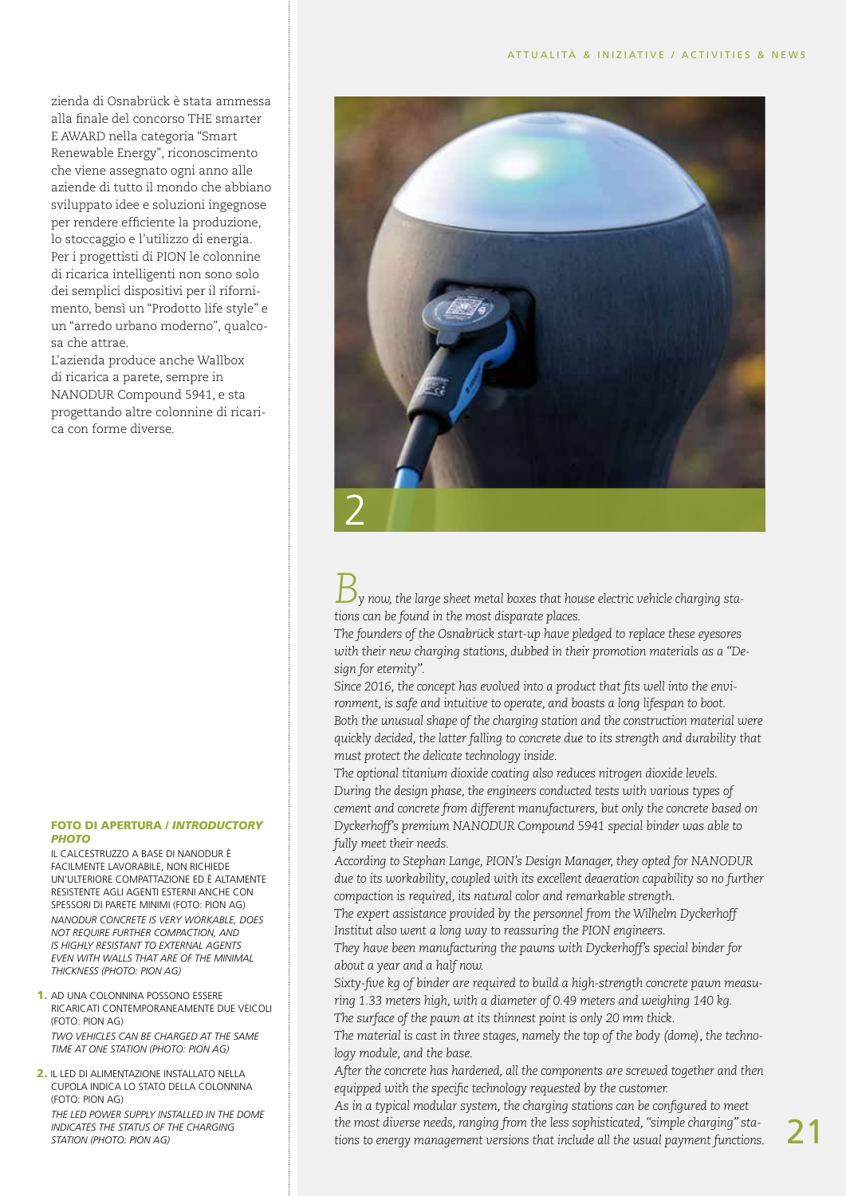zienda di Osnabrück è stata ammessa alla finale del concorso THE smarter E AWARD nella categoria "Smart Renewable Energy", riconoscimento che viene assegnato ogni anno alle aziende di tutto il mondo che abbiano sviluppato idee e soluzioni ingegnose per rendere efficiente la produzione, lo stoccaggio e l'utilizzo di energia. Per i progettisti di PION le colonnine di ricarica intelligenti non sono solo dei semplici dispositivi per il rifornimento, bensì un "Prodotto life style" e un "arredo urbano moderno", qualcosa che attrae.

L'azienda produce anche Wallbox di ricarica a parete, sempre in NANODUR Compound 5941, e sta progettando altre colonnine di ricarica con forme diverse.

## FOTO DI APERTURA / *INTRODUCTORY PHOTO*

Il calcestruzzo a base di NANODUR è facilmente lavorabile, non richiede un'ulteriore compattazione ed è altamente resistente agli agenti esterni anche con spessori di parete minimi (Foto: PION AG) *NANODUR concrete is very workable, does not require further compaction, and is highly resistant to external agents even with walls that are of the minimal thickness (Photo: PION AG)*

- 1. Ad una colonnina possono essere ricaricati contemporaneamente due veicoli (Foto: PION AG) *Two vehicles can be charged at the same time at one station (Photo: PION AG)*
- 2. Il LED di alimentazione installato nella cupola indica lo stato della colonnina (Foto: PION AG) *The LED power supply installed in the dome indicates the status of the charging station (Photo: PION AG)*



*By now, the large sheet metal boxes that house electric vehicle charging stations can be found in the most disparate places.* 

*The founders of the Osnabrück start-up have pledged to replace these eyesores with their new charging stations, dubbed in their promotion materials as a "Design for eternity".* 

*Since 2016, the concept has evolved into a product that fits well into the environment, is safe and intuitive to operate, and boasts a long lifespan to boot. Both the unusual shape of the charging station and the construction material were quickly decided, the latter falling to concrete due to its strength and durability that must protect the delicate technology inside.* 

*The optional titanium dioxide coating also reduces nitrogen dioxide levels. During the design phase, the engineers conducted tests with various types of cement and concrete from different manufacturers, but only the concrete based on Dyckerhoff's premium NANODUR Compound 5941 special binder was able to fully meet their needs.* 

*According to Stephan Lange, PION's Design Manager, they opted for NANODUR due to its workability, coupled with its excellent deaeration capability so no further compaction is required, its natural color and remarkable strength.* 

*The expert assistance provided by the personnel from the Wilhelm Dyckerhoff Institut also went a long way to reassuring the PION engineers.* 

*They have been manufacturing the pawns with Dyckerhoff's special binder for about a year and a half now.* 

*Sixty-five kg of binder are required to build a high-strength concrete pawn measuring 1.33 meters high, with a diameter of 0.49 meters and weighing 140 kg. The surface of the pawn at its thinnest point is only 20 mm thick.* 

*The material is cast in three stages, namely the top of the body (dome), the technology module, and the base.* 

*After the concrete has hardened, all the components are screwed together and then equipped with the specific technology requested by the customer.* 

*As in a typical modular system, the charging stations can be configured to meet the most diverse needs, ranging from the less sophisticated, "simple charging" stations to energy management versions that include all the usual payment functions.*